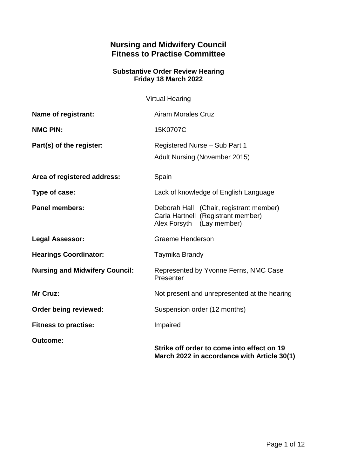# **Nursing and Midwifery Council Fitness to Practise Committee**

#### **Substantive Order Review Hearing Friday 18 March 2022**

Virtual Hearing

| <b>Name of registrant:</b>            | <b>Airam Morales Cruz</b>                                                                                  |
|---------------------------------------|------------------------------------------------------------------------------------------------------------|
| <b>NMC PIN:</b>                       | 15K0707C                                                                                                   |
| Part(s) of the register:              | Registered Nurse - Sub Part 1<br><b>Adult Nursing (November 2015)</b>                                      |
| Area of registered address:           | Spain                                                                                                      |
| Type of case:                         | Lack of knowledge of English Language                                                                      |
| <b>Panel members:</b>                 | Deborah Hall (Chair, registrant member)<br>Carla Hartnell (Registrant member)<br>Alex Forsyth (Lay member) |
| <b>Legal Assessor:</b>                | <b>Graeme Henderson</b>                                                                                    |
| <b>Hearings Coordinator:</b>          | Taymika Brandy                                                                                             |
| <b>Nursing and Midwifery Council:</b> | Represented by Yvonne Ferns, NMC Case<br>Presenter                                                         |
| Mr Cruz:                              | Not present and unrepresented at the hearing                                                               |
| Order being reviewed:                 | Suspension order (12 months)                                                                               |
| <b>Fitness to practise:</b>           | Impaired                                                                                                   |
| <b>Outcome:</b>                       | Strike off order to come into effect on 19<br>March 2022 in accordance with Article 30(1)                  |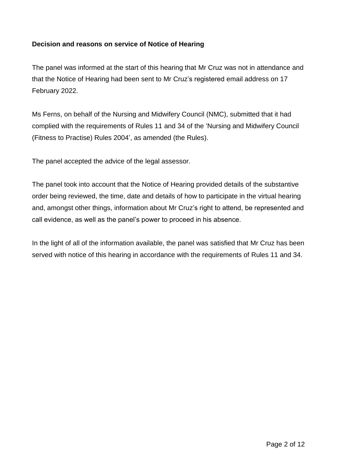## **Decision and reasons on service of Notice of Hearing**

The panel was informed at the start of this hearing that Mr Cruz was not in attendance and that the Notice of Hearing had been sent to Mr Cruz's registered email address on 17 February 2022.

Ms Ferns, on behalf of the Nursing and Midwifery Council (NMC), submitted that it had complied with the requirements of Rules 11 and 34 of the 'Nursing and Midwifery Council (Fitness to Practise) Rules 2004', as amended (the Rules).

The panel accepted the advice of the legal assessor.

The panel took into account that the Notice of Hearing provided details of the substantive order being reviewed, the time, date and details of how to participate in the virtual hearing and, amongst other things, information about Mr Cruz's right to attend, be represented and call evidence, as well as the panel's power to proceed in his absence.

In the light of all of the information available, the panel was satisfied that Mr Cruz has been served with notice of this hearing in accordance with the requirements of Rules 11 and 34.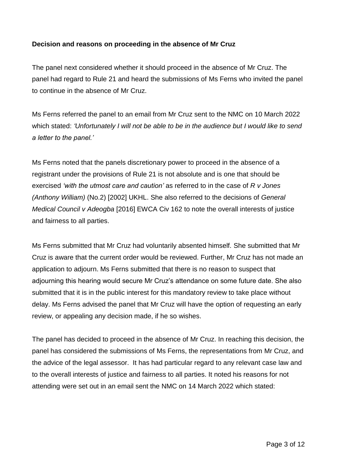## **Decision and reasons on proceeding in the absence of Mr Cruz**

The panel next considered whether it should proceed in the absence of Mr Cruz. The panel had regard to Rule 21 and heard the submissions of Ms Ferns who invited the panel to continue in the absence of Mr Cruz.

Ms Ferns referred the panel to an email from Mr Cruz sent to the NMC on 10 March 2022 which stated: *'Unfortunately I will not be able to be in the audience but I would like to send a letter to the panel.'*

Ms Ferns noted that the panels discretionary power to proceed in the absence of a registrant under the provisions of Rule 21 is not absolute and is one that should be exercised *'with the utmost care and caution'* as referred to in the case of *R v Jones (Anthony William)* (No.2) [2002] UKHL. She also referred to the decisions of *General Medical Council v Adeogba* [2016] EWCA Civ 162 to note the overall interests of justice and fairness to all parties.

Ms Ferns submitted that Mr Cruz had voluntarily absented himself. She submitted that Mr Cruz is aware that the current order would be reviewed. Further, Mr Cruz has not made an application to adjourn. Ms Ferns submitted that there is no reason to suspect that adjourning this hearing would secure Mr Cruz's attendance on some future date. She also submitted that it is in the public interest for this mandatory review to take place without delay. Ms Ferns advised the panel that Mr Cruz will have the option of requesting an early review, or appealing any decision made, if he so wishes.

The panel has decided to proceed in the absence of Mr Cruz. In reaching this decision, the panel has considered the submissions of Ms Ferns, the representations from Mr Cruz, and the advice of the legal assessor. It has had particular regard to any relevant case law and to the overall interests of justice and fairness to all parties. It noted his reasons for not attending were set out in an email sent the NMC on 14 March 2022 which stated: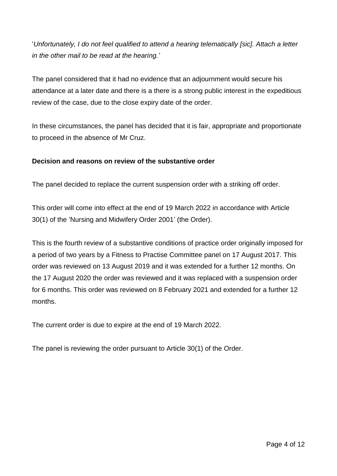'*Unfortunately, I do not feel qualified to attend a hearing telematically [sic]. Attach a letter in the other mail to be read at the hearing.'*

The panel considered that it had no evidence that an adjournment would secure his attendance at a later date and there is a there is a strong public interest in the expeditious review of the case, due to the close expiry date of the order.

In these circumstances, the panel has decided that it is fair, appropriate and proportionate to proceed in the absence of Mr Cruz.

## **Decision and reasons on review of the substantive order**

The panel decided to replace the current suspension order with a striking off order.

This order will come into effect at the end of 19 March 2022 in accordance with Article 30(1) of the 'Nursing and Midwifery Order 2001' (the Order).

This is the fourth review of a substantive conditions of practice order originally imposed for a period of two years by a Fitness to Practise Committee panel on 17 August 2017. This order was reviewed on 13 August 2019 and it was extended for a further 12 months. On the 17 August 2020 the order was reviewed and it was replaced with a suspension order for 6 months. This order was reviewed on 8 February 2021 and extended for a further 12 months.

The current order is due to expire at the end of 19 March 2022.

The panel is reviewing the order pursuant to Article 30(1) of the Order.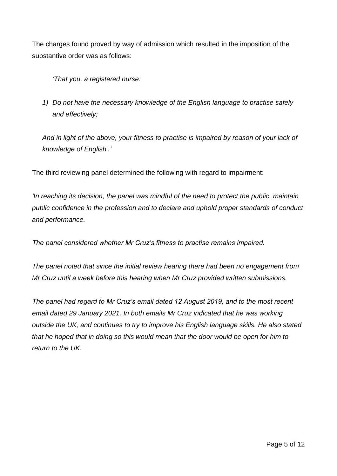The charges found proved by way of admission which resulted in the imposition of the substantive order was as follows:

*'That you, a registered nurse:*

*1) Do not have the necessary knowledge of the English language to practise safely and effectively;*

*And in light of the above, your fitness to practise is impaired by reason of your lack of knowledge of English'.'*

The third reviewing panel determined the following with regard to impairment:

*'In reaching its decision, the panel was mindful of the need to protect the public, maintain public confidence in the profession and to declare and uphold proper standards of conduct and performance.*

*The panel considered whether Mr Cruz's fitness to practise remains impaired.* 

*The panel noted that since the initial review hearing there had been no engagement from Mr Cruz until a week before this hearing when Mr Cruz provided written submissions.* 

*The panel had regard to Mr Cruz's email dated 12 August 2019, and to the most recent email dated 29 January 2021. In both emails Mr Cruz indicated that he was working outside the UK, and continues to try to improve his English language skills. He also stated that he hoped that in doing so this would mean that the door would be open for him to return to the UK.*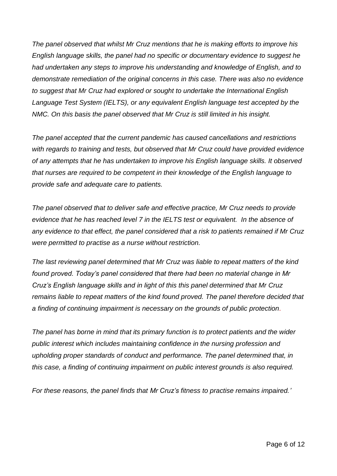*The panel observed that whilst Mr Cruz mentions that he is making efforts to improve his English language skills, the panel had no specific or documentary evidence to suggest he had undertaken any steps to improve his understanding and knowledge of English, and to demonstrate remediation of the original concerns in this case. There was also no evidence to suggest that Mr Cruz had explored or sought to undertake the International English Language Test System (IELTS), or any equivalent English language test accepted by the NMC. On this basis the panel observed that Mr Cruz is still limited in his insight.*

*The panel accepted that the current pandemic has caused cancellations and restrictions with regards to training and tests, but observed that Mr Cruz could have provided evidence of any attempts that he has undertaken to improve his English language skills. It observed that nurses are required to be competent in their knowledge of the English language to provide safe and adequate care to patients.*

*The panel observed that to deliver safe and effective practice, Mr Cruz needs to provide evidence that he has reached level 7 in the IELTS test or equivalent. In the absence of any evidence to that effect, the panel considered that a risk to patients remained if Mr Cruz were permitted to practise as a nurse without restriction.* 

*The last reviewing panel determined that Mr Cruz was liable to repeat matters of the kind found proved. Today's panel considered that there had been no material change in Mr Cruz's English language skills and in light of this this panel determined that Mr Cruz remains liable to repeat matters of the kind found proved. The panel therefore decided that a finding of continuing impairment is necessary on the grounds of public protection.* 

*The panel has borne in mind that its primary function is to protect patients and the wider public interest which includes maintaining confidence in the nursing profession and upholding proper standards of conduct and performance. The panel determined that, in this case, a finding of continuing impairment on public interest grounds is also required.*

*For these reasons, the panel finds that Mr Cruz's fitness to practise remains impaired.'*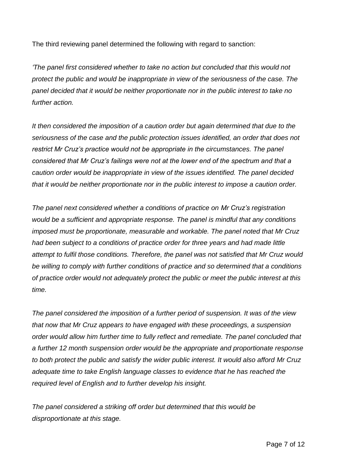The third reviewing panel determined the following with regard to sanction:

*'The panel first considered whether to take no action but concluded that this would not protect the public and would be inappropriate in view of the seriousness of the case. The panel decided that it would be neither proportionate nor in the public interest to take no further action.* 

*It then considered the imposition of a caution order but again determined that due to the seriousness of the case and the public protection issues identified, an order that does not restrict Mr Cruz's practice would not be appropriate in the circumstances. The panel considered that Mr Cruz's failings were not at the lower end of the spectrum and that a caution order would be inappropriate in view of the issues identified. The panel decided that it would be neither proportionate nor in the public interest to impose a caution order.*

*The panel next considered whether a conditions of practice on Mr Cruz's registration would be a sufficient and appropriate response. The panel is mindful that any conditions imposed must be proportionate, measurable and workable. The panel noted that Mr Cruz had been subject to a conditions of practice order for three years and had made little attempt to fulfil those conditions. Therefore, the panel was not satisfied that Mr Cruz would be willing to comply with further conditions of practice and so determined that a conditions of practice order would not adequately protect the public or meet the public interest at this time.* 

*The panel considered the imposition of a further period of suspension. It was of the view that now that Mr Cruz appears to have engaged with these proceedings, a suspension order would allow him further time to fully reflect and remediate. The panel concluded that a further 12 month suspension order would be the appropriate and proportionate response to both protect the public and satisfy the wider public interest. It would also afford Mr Cruz adequate time to take English language classes to evidence that he has reached the required level of English and to further develop his insight.* 

*The panel considered a striking off order but determined that this would be disproportionate at this stage.*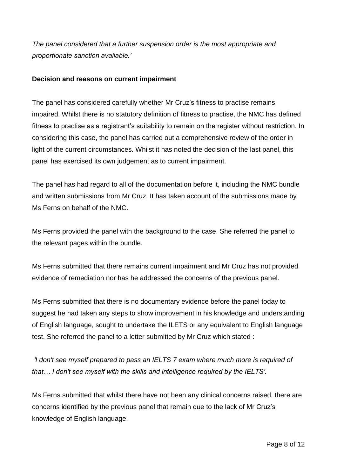*The panel considered that a further suspension order is the most appropriate and proportionate sanction available.'*

## **Decision and reasons on current impairment**

The panel has considered carefully whether Mr Cruz's fitness to practise remains impaired. Whilst there is no statutory definition of fitness to practise, the NMC has defined fitness to practise as a registrant's suitability to remain on the register without restriction. In considering this case, the panel has carried out a comprehensive review of the order in light of the current circumstances. Whilst it has noted the decision of the last panel, this panel has exercised its own judgement as to current impairment.

The panel has had regard to all of the documentation before it, including the NMC bundle and written submissions from Mr Cruz. It has taken account of the submissions made by Ms Ferns on behalf of the NMC.

Ms Ferns provided the panel with the background to the case. She referred the panel to the relevant pages within the bundle.

Ms Ferns submitted that there remains current impairment and Mr Cruz has not provided evidence of remediation nor has he addressed the concerns of the previous panel.

Ms Ferns submitted that there is no documentary evidence before the panel today to suggest he had taken any steps to show improvement in his knowledge and understanding of English language, sought to undertake the ILETS or any equivalent to English language test. She referred the panel to a letter submitted by Mr Cruz which stated :

*'I don't see myself prepared to pass an IELTS 7 exam where much more is required of that… I don't see myself with the skills and intelligence required by the IELTS'.*

Ms Ferns submitted that whilst there have not been any clinical concerns raised, there are concerns identified by the previous panel that remain due to the lack of Mr Cruz's knowledge of English language.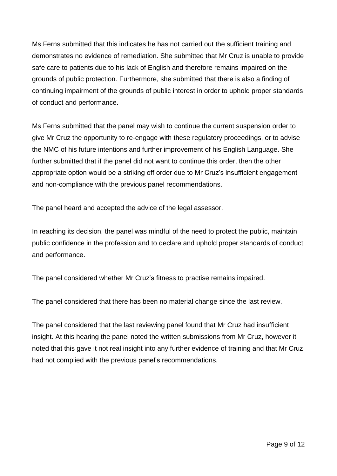Ms Ferns submitted that this indicates he has not carried out the sufficient training and demonstrates no evidence of remediation. She submitted that Mr Cruz is unable to provide safe care to patients due to his lack of English and therefore remains impaired on the grounds of public protection. Furthermore, she submitted that there is also a finding of continuing impairment of the grounds of public interest in order to uphold proper standards of conduct and performance.

Ms Ferns submitted that the panel may wish to continue the current suspension order to give Mr Cruz the opportunity to re-engage with these regulatory proceedings, or to advise the NMC of his future intentions and further improvement of his English Language. She further submitted that if the panel did not want to continue this order, then the other appropriate option would be a striking off order due to Mr Cruz's insufficient engagement and non-compliance with the previous panel recommendations.

The panel heard and accepted the advice of the legal assessor.

In reaching its decision, the panel was mindful of the need to protect the public, maintain public confidence in the profession and to declare and uphold proper standards of conduct and performance.

The panel considered whether Mr Cruz's fitness to practise remains impaired.

The panel considered that there has been no material change since the last review.

The panel considered that the last reviewing panel found that Mr Cruz had insufficient insight. At this hearing the panel noted the written submissions from Mr Cruz, however it noted that this gave it not real insight into any further evidence of training and that Mr Cruz had not complied with the previous panel's recommendations.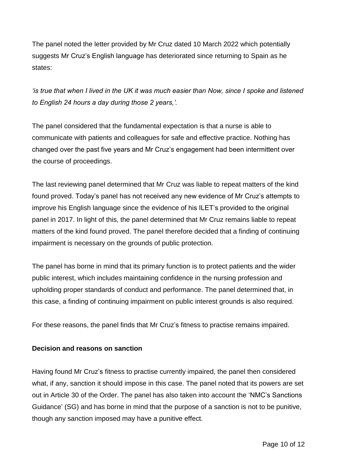The panel noted the letter provided by Mr Cruz dated 10 March 2022 which potentially suggests Mr Cruz's English language has deteriorated since returning to Spain as he states:

*'is true that when I lived in the UK it was much easier than Now, since I spoke and listened to English 24 hours a day during those 2 years,'.*

The panel considered that the fundamental expectation is that a nurse is able to communicate with patients and colleagues for safe and effective practice. Nothing has changed over the past five years and Mr Cruz's engagement had been intermittent over the course of proceedings.

The last reviewing panel determined that Mr Cruz was liable to repeat matters of the kind found proved. Today's panel has not received any new evidence of Mr Cruz's attempts to improve his English language since the evidence of his ILET's provided to the original panel in 2017. In light of this, the panel determined that Mr Cruz remains liable to repeat matters of the kind found proved. The panel therefore decided that a finding of continuing impairment is necessary on the grounds of public protection.

The panel has borne in mind that its primary function is to protect patients and the wider public interest, which includes maintaining confidence in the nursing profession and upholding proper standards of conduct and performance. The panel determined that, in this case, a finding of continuing impairment on public interest grounds is also required.

For these reasons, the panel finds that Mr Cruz's fitness to practise remains impaired.

#### **Decision and reasons on sanction**

Having found Mr Cruz's fitness to practise currently impaired, the panel then considered what, if any, sanction it should impose in this case. The panel noted that its powers are set out in Article 30 of the Order. The panel has also taken into account the 'NMC's Sanctions Guidance' (SG) and has borne in mind that the purpose of a sanction is not to be punitive, though any sanction imposed may have a punitive effect.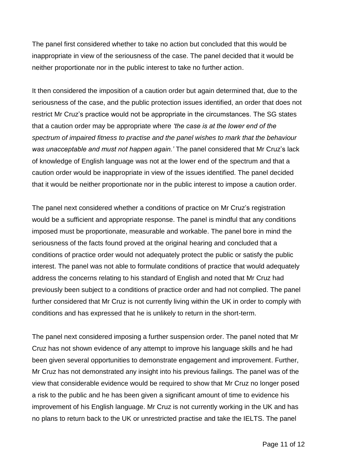The panel first considered whether to take no action but concluded that this would be inappropriate in view of the seriousness of the case. The panel decided that it would be neither proportionate nor in the public interest to take no further action.

It then considered the imposition of a caution order but again determined that, due to the seriousness of the case, and the public protection issues identified, an order that does not restrict Mr Cruz's practice would not be appropriate in the circumstances. The SG states that a caution order may be appropriate where *'the case is at the lower end of the spectrum of impaired fitness to practise and the panel wishes to mark that the behaviour was unacceptable and must not happen again.'* The panel considered that Mr Cruz's lack of knowledge of English language was not at the lower end of the spectrum and that a caution order would be inappropriate in view of the issues identified. The panel decided that it would be neither proportionate nor in the public interest to impose a caution order.

The panel next considered whether a conditions of practice on Mr Cruz's registration would be a sufficient and appropriate response. The panel is mindful that any conditions imposed must be proportionate, measurable and workable. The panel bore in mind the seriousness of the facts found proved at the original hearing and concluded that a conditions of practice order would not adequately protect the public or satisfy the public interest. The panel was not able to formulate conditions of practice that would adequately address the concerns relating to his standard of English and noted that Mr Cruz had previously been subject to a conditions of practice order and had not complied. The panel further considered that Mr Cruz is not currently living within the UK in order to comply with conditions and has expressed that he is unlikely to return in the short-term.

The panel next considered imposing a further suspension order. The panel noted that Mr Cruz has not shown evidence of any attempt to improve his language skills and he had been given several opportunities to demonstrate engagement and improvement. Further, Mr Cruz has not demonstrated any insight into his previous failings. The panel was of the view that considerable evidence would be required to show that Mr Cruz no longer posed a risk to the public and he has been given a significant amount of time to evidence his improvement of his English language. Mr Cruz is not currently working in the UK and has no plans to return back to the UK or unrestricted practise and take the IELTS. The panel